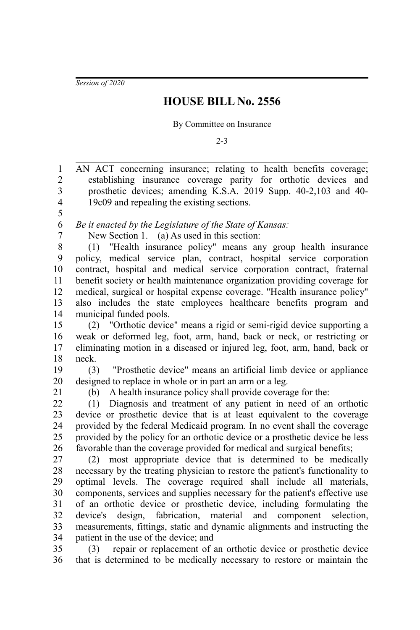*Session of 2020*

## **HOUSE BILL No. 2556**

By Committee on Insurance

2-3

AN ACT concerning insurance; relating to health benefits coverage; establishing insurance coverage parity for orthotic devices and prosthetic devices; amending K.S.A. 2019 Supp. 40-2,103 and 40- 19c09 and repealing the existing sections. *Be it enacted by the Legislature of the State of Kansas:* New Section 1. (a) As used in this section: (1) "Health insurance policy" means any group health insurance policy, medical service plan, contract, hospital service corporation contract, hospital and medical service corporation contract, fraternal benefit society or health maintenance organization providing coverage for medical, surgical or hospital expense coverage. "Health insurance policy" also includes the state employees healthcare benefits program and municipal funded pools. (2) "Orthotic device" means a rigid or semi-rigid device supporting a weak or deformed leg, foot, arm, hand, back or neck, or restricting or eliminating motion in a diseased or injured leg, foot, arm, hand, back or neck. (3) "Prosthetic device" means an artificial limb device or appliance designed to replace in whole or in part an arm or a leg. (b) A health insurance policy shall provide coverage for the: (1) Diagnosis and treatment of any patient in need of an orthotic device or prosthetic device that is at least equivalent to the coverage provided by the federal Medicaid program. In no event shall the coverage provided by the policy for an orthotic device or a prosthetic device be less favorable than the coverage provided for medical and surgical benefits; (2) most appropriate device that is determined to be medically necessary by the treating physician to restore the patient's functionality to optimal levels. The coverage required shall include all materials, components, services and supplies necessary for the patient's effective use of an orthotic device or prosthetic device, including formulating the device's design, fabrication, material and component selection, measurements, fittings, static and dynamic alignments and instructing the patient in the use of the device; and (3) repair or replacement of an orthotic device or prosthetic device that is determined to be medically necessary to restore or maintain the 1 2 3 4 5 6 7 8 9 10 11 12 13 14 15 16 17 18 19 20 21 22 23 24 25 26 27 28 29 30 31 32 33 34 35 36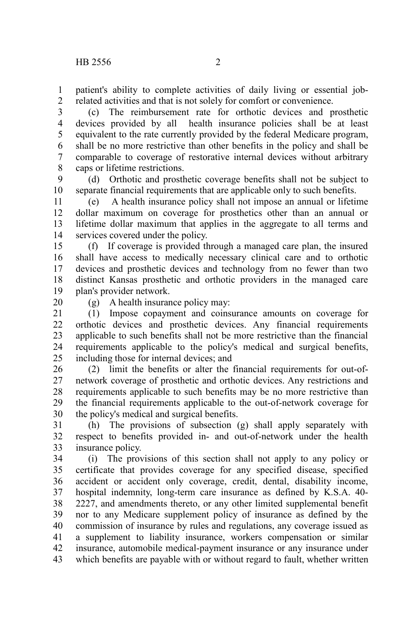patient's ability to complete activities of daily living or essential jobrelated activities and that is not solely for comfort or convenience. 1 2

(c) The reimbursement rate for orthotic devices and prosthetic devices provided by all health insurance policies shall be at least equivalent to the rate currently provided by the federal Medicare program, shall be no more restrictive than other benefits in the policy and shall be comparable to coverage of restorative internal devices without arbitrary caps or lifetime restrictions. 3 4 5 6 7 8

(d) Orthotic and prosthetic coverage benefits shall not be subject to separate financial requirements that are applicable only to such benefits. 9 10

(e) A health insurance policy shall not impose an annual or lifetime dollar maximum on coverage for prosthetics other than an annual or lifetime dollar maximum that applies in the aggregate to all terms and services covered under the policy. 11 12 13 14

(f) If coverage is provided through a managed care plan, the insured shall have access to medically necessary clinical care and to orthotic devices and prosthetic devices and technology from no fewer than two distinct Kansas prosthetic and orthotic providers in the managed care plan's provider network. 15 16 17 18 19

20

(g) A health insurance policy may:

(1) Impose copayment and coinsurance amounts on coverage for orthotic devices and prosthetic devices. Any financial requirements applicable to such benefits shall not be more restrictive than the financial requirements applicable to the policy's medical and surgical benefits, including those for internal devices; and 21 22 23 24 25

(2) limit the benefits or alter the financial requirements for out-ofnetwork coverage of prosthetic and orthotic devices. Any restrictions and requirements applicable to such benefits may be no more restrictive than the financial requirements applicable to the out-of-network coverage for the policy's medical and surgical benefits. 26 27 28 29 30

(h) The provisions of subsection (g) shall apply separately with respect to benefits provided in- and out-of-network under the health insurance policy. 31 32 33

(i) The provisions of this section shall not apply to any policy or certificate that provides coverage for any specified disease, specified accident or accident only coverage, credit, dental, disability income, hospital indemnity, long-term care insurance as defined by K.S.A. 40- 2227, and amendments thereto, or any other limited supplemental benefit nor to any Medicare supplement policy of insurance as defined by the commission of insurance by rules and regulations, any coverage issued as a supplement to liability insurance, workers compensation or similar insurance, automobile medical-payment insurance or any insurance under which benefits are payable with or without regard to fault, whether written 34 35 36 37 38 39 40 41 42 43